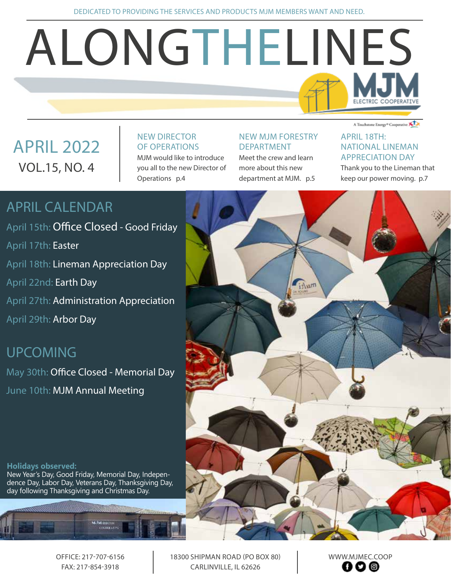# ALONGTHELINES

APRIL 2022 VOL.15, NO. 4

#### NEW DIRECTOR OF OPERATIONS

MJM would like to introduce you all to the new Director of Operations p.4

#### NEW MJM FORESTRY DEPARTMENT

Meet the crew and learn more about this new department at MJM. p.5 A Touchstone Energy<sup>®</sup> Cooperative X

#### APRIL 18TH: NATIONAL LINEMAN APPRECIATION DAY

Thank you to the Lineman that keep our power moving. p.7

## APRIL CALENDAR

April 15th: Office Closed - Good Friday April 17th: Easter April 18th: Lineman Appreciation Day April 22nd: Earth Day April 27th: Administration Appreciation April 29th: Arbor Day

## UPCOMING

May 30th: Office Closed - Memorial Day June 10th: MJM Annual Meeting

**Holidays observed:** New Year's Day, Good Friday, Memorial Day, Independence Day, Labor Day, Veterans Day, Thanksgiving Day, day following Thanksgiving and Christmas Day.



OFFICE: 217-707-6156 FAX: 217-854-3918

**UM mens CHEATIV** 

> 18300 SHIPMAN ROAD (PO BOX 80) CARLINVILLE, IL 62626

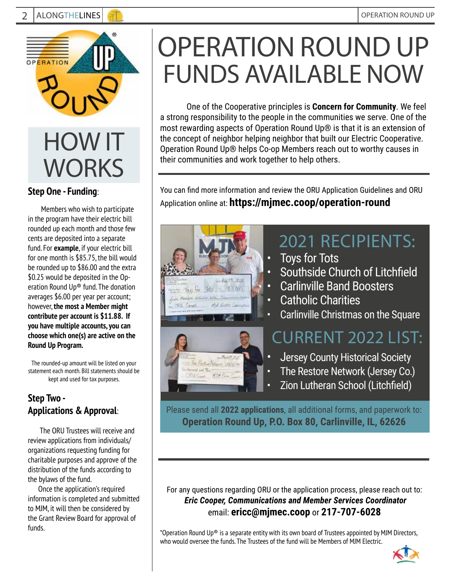

# HOW IT **WORKS**

#### **Step One - Funding**:

 Members who wish to participate in the program have their electric bill rounded up each month and those few cents are deposited into a separate fund. For **example**, if your electric bill for one month is \$85.75, the bill would be rounded up to \$86.00 and the extra \$0.25 would be deposited in the Operation Round Up® fund. The donation averages \$6.00 per year per account; however, **the most a Member might contribute per account is \$11.88. If you have multiple accounts, you can choose which one(s) are active on the Round Up Program.**

The rounded-up amount will be listed on your statement each month. Bill statements should be kept and used for tax purposes.

#### **Step Two - Applications & Approval**:

 The ORU Trustees will receive and review applications from individuals/ organizations requesting funding for charitable purposes and approve of the distribution of the funds according to the bylaws of the fund.

 Once the application's required information is completed and submitted to MJM, it will then be considered by the Grant Review Board for approval of funds.

# OPERATION ROUND UP FUNDS AVAILABLE NOW

One of the Cooperative principles is **Concern for Community**. We feel a strong responsibility to the people in the communities we serve. One of the most rewarding aspects of Operation Round Up® is that it is an extension of the concept of neighbor helping neighbor that built our Electric Cooperative. Operation Round Up® helps Co-op Members reach out to worthy causes in their communities and work together to help others.

You can find more information and review the ORU Application Guidelines and ORU Application online at: **https://mjmec.coop/operation-round**



Rosenberg min KIN !

# 2021 RECIPIENTS:

- **Toys for Tots**
- Southside Church of Litchfield
- Carlinville Band Boosters
- **Catholic Charities**
- Carlinville Christmas on the Square

# CURRENT 2022 LIST:

- Jersey County Historical Society
- The Restore Network (Jersey Co.)
	- Zion Lutheran School (Litchfield)

Please send all **2022 applications**, all additional forms, and paperwork to: **Operation Round Up, P.O. Box 80, Carlinville, IL, 62626**

For any questions regarding ORU or the application process, please reach out to: *Eric Cooper, Communications and Member Services Coordinator*  email: **ericc@mjmec.coop** or **217-707-6028**

\*Operation Round  $Up^{\otimes}$  is a separate entity with its own board of Trustees appointed by MJM Directors, who would oversee the funds. The Trustees of the fund will be Members of MJM Electric.

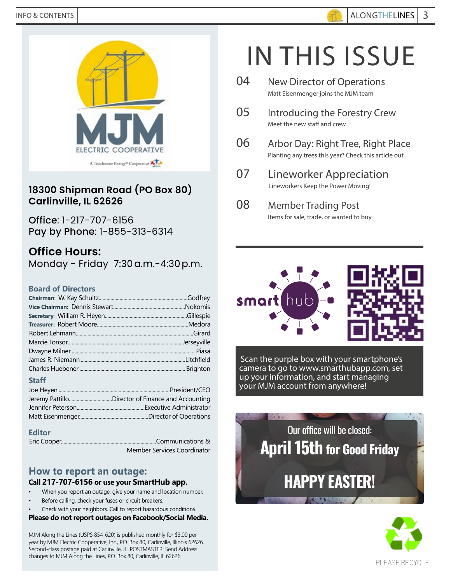

#### **18300 Shipman Road (PO Box 80) Carlinville, IL 62626**

Office: 1-217-707-6156 Pay by Phone: 1-855-313-6314

## **Office Hours:**

Monday - Friday 7:30a.m.-4:30p.m.

#### **Board of Directors**

#### **Staff**

#### **Editor**

Eric Cooper.........................................................................Communications & Member Services Coordinator

#### **How to report an outage: Call 217-707-6156 or use your SmartHub app.**

- When you report an outage, give your name and location number.
- Before calling, check your fuses or circuit breakers.
- Check with your neighbors. Call to report hazardous conditions.

**Please do not report outages on Facebook/Social Media.**

MJM Along the Lines (USPS 854-620) is published monthly for \$3.00 per year by MJM Electric Cooperative, Inc., P.O. Box 80, Carlinville, Illinois 62626. Second-class postage paid at Carlinville, IL. POSTMASTER: Send Address changes to MJM Along the Lines, P.O. Box 80, Carlinville, IL 62626.

# IN THIS ISSUE

- **04** New Director of Operations<br>Matt Eisenmenger joins the MJM team
- 05 Introducing the Forestry Crew Meet the new staff and crew
- 06 Arbor Day: Right Tree, Right Place Planting any trees this year? Check this article out
- 07 Lineworker Appreciation Lineworkers Keep the Power Moving!
- 08 Member Trading Post Items for sale, trade, or wanted to buy



 Scan the purple box with your smartphone's camera to go to www.smarthubapp.com, set up your information, and start managing your MJM account from anywhere!



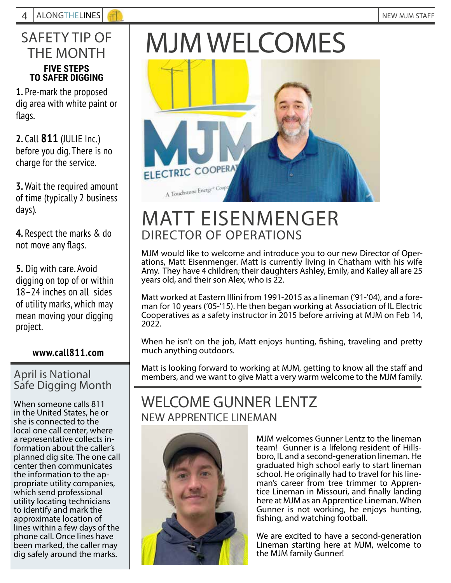### SAFETY TIP OF THE MONTH **FIVE STEPS TO SAFER DIGGING**

**1.** Pre-mark the proposed dig area with white paint or flags.

**2.** Call **811** (JULIE Inc.) before you dig. There is no charge for the service.

**3.** Wait the required amount of time (typically 2 business days).

**4.** Respect the marks & do not move any flags.

**5.** Dig with care. Avoid digging on top of or within 18–24 inches on all sides of utility marks, which may mean moving your digging project.

#### **www.call811.com**

#### April is National Safe Digging Month

When someone calls 811 in the United States, he or she is connected to the local one call center, where<br>a representative collects information about the caller's planned dig site. The one call center then communicates the information to the appropriate utility companies, which send professional utility locating technicians to identify and mark the approximate location of lines within a few days of the phone call. Once lines have been marked, the caller may dig safely around the marks.

# MJM WELCOMES



# MATT EISENMENGER DIRECTOR OF OPERATIONS

MJM would like to welcome and introduce you to our new Director of Operations, Matt Eisenmenger. Matt is currently living in Chatham with his wife Amy. They have 4 children; their daughters Ashley, Emily, and Kailey all are 25 years old, and their son Alex, who is 22.

Matt worked at Eastern Illini from 1991-2015 as a lineman ('91-'04), and a foreman for 10 years ('05-'15). He then began working at Association of IL Electric Cooperatives as a safety instructor in 2015 before arriving at MJM on Feb 14, 2022.

When he isn't on the job, Matt enjoys hunting, fishing, traveling and pretty much anything outdoors.

Matt is looking forward to working at MJM, getting to know all the staff and members, and we want to give Matt a very warm welcome to the MJM family.

## WELCOME GUNNER LENTZ NEW APPRENTICE LINEMAN



MJM welcomes Gunner Lentz to the lineman team! Gunner is a lifelong resident of Hillsboro, IL and a second-generation lineman. He graduated high school early to start lineman school. He originally had to travel for his lineman's career from tree trimmer to Apprentice Lineman in Missouri, and finally landing here at MJM as an Apprentice Lineman. When Gunner is not working, he enjoys hunting, fishing, and watching football.

We are excited to have a second-generation Lineman starting here at MJM, welcome to the MJM family Gunner!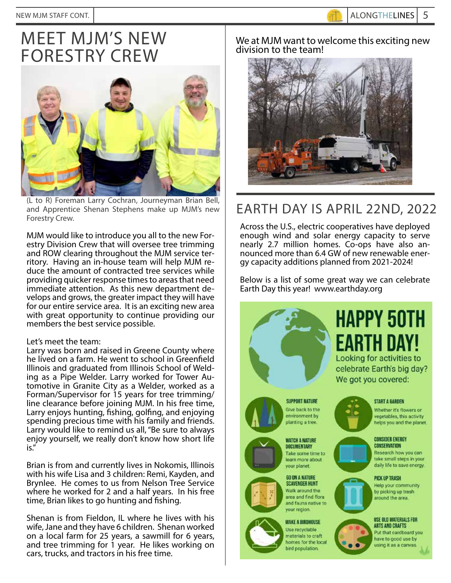# MEET MJM'S NEW FORESTRY CREW



(L to R) Foreman Larry Cochran, Journeyman Brian Bell, and Apprentice Shenan Stephens make up MJM's new Forestry Crew.

MJM would like to introduce you all to the new Forestry Division Crew that will oversee tree trimming and ROW clearing throughout the MJM service territory. Having an in-house team will help MJM reduce the amount of contracted tree services while providing quicker response times to areas that need immediate attention. As this new department develops and grows, the greater impact they will have for our entire service area. It is an exciting new area with great opportunity to continue providing our members the best service possible.

#### Let's meet the team:

Larry was born and raised in Greene County where he lived on a farm. He went to school in Greenfield Illinois and graduated from Illinois School of Welding as a Pipe Welder. Larry worked for Tower Automotive in Granite City as a Welder, worked as a Forman/Supervisor for 15 years for tree trimming/ line clearance before joining MJM. In his free time, Larry enjoys hunting, fishing, golfing, and enjoying spending precious time with his family and friends. Larry would like to remind us all, "Be sure to always enjoy yourself, we really don't know how short life  $i\varsigma$ "

Brian is from and currently lives in Nokomis, Illinois with his wife Lisa and 3 children: Remi, Kayden, and Brynlee. He comes to us from Nelson Tree Service where he worked for 2 and a half years. In his free time, Brian likes to go hunting and fishing.

Shenan is from Fieldon, IL where he lives with his wife, Jane and they have 6 children. Shenan worked on a local farm for 25 years, a sawmill for 6 years, and tree trimming for 1 year. He likes working on cars, trucks, and tractors in his free time.

#### We at MJM want to welcome this exciting new division to the team!



## EARTH DAY IS APRIL 22ND, 2022

Across the U.S., electric cooperatives have deployed enough wind and solar energy capacity to serve nearly 2.7 million homes. Co-ops have also announced more than 6.4 GW of new renewable energy capacity additions planned from 2021-2024!

Below is a list of some great way we can celebrate Earth Day this year! www.earthday.org

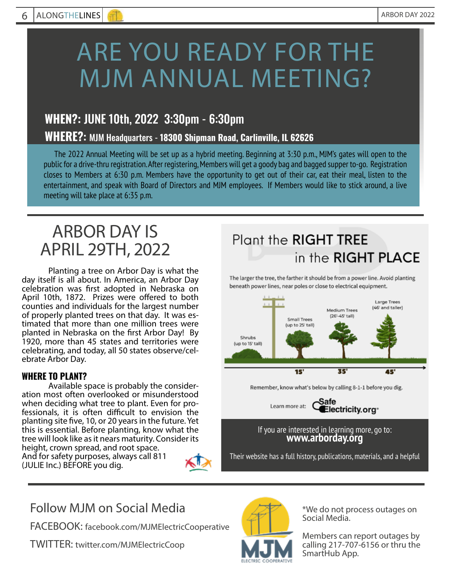# ARE YOU READY FOR THE MJM ANNUAL MEETING?

## **WHEN?:** JUNE 10th, 2022 3:30pm - 6:30pm

#### **WHERE?:** MJM Headquarters - **18300 Shipman Road, Carlinville, IL 62626**

The 2022 Annual Meeting will be set up as a hybrid meeting. Beginning at 3:30 p.m., MJM's gates will open to the public for a drive-thru registration. After registering, Members will get a goody bag and bagged supper to-go. Registration closes to Members at 6:30 p.m. Members have the opportunity to get out of their car, eat their meal, listen to the entertainment, and speak with Board of Directors and MJM employees. If Members would like to stick around, a live meeting will take place at 6:35 p.m.

# ARBOR DAY IS APRIL 29TH, 2022

Planting a tree on Arbor Day is what the day itself is all about. In America, an Arbor Day celebration was first adopted in Nebraska on April 10th, 1872. Prizes were offered to both counties and individuals for the largest number of properly planted trees on that day. It was estimated that more than one million trees were planted in Nebraska on the first Arbor Day! By 1920, more than 45 states and territories were celebrating, and today, all 50 states observe/celebrate Arbor Day.

#### **WHERE TO PLANT?**

Available space is probably the consideration most often overlooked or misunderstood when deciding what tree to plant. Even for professionals, it is often difficult to envision the planting site five, 10, or 20 years in the future. Yet this is essential. Before planting, know what the tree will look like as it nears maturity. Consider its height, crown spread, and root space.

And for safety purposes, always call 811 (JULIE Inc.) BEFORE you dig.



## Follow MJM on Social Media

FACEBOOK: facebook.com/MJMElectricCooperative

TWITTER: twitter.com/MJMElectricCoop



\*We do not process outages on Social Media.

Members can report outages by calling 217-707-6156 or thru the SmartHub App.

# Plant the **RIGHT TREE** in the RIGHT PLACE

The larger the tree, the farther it should be from a power line. Avoid planting beneath power lines, near poles or close to electrical equipment.



Remember, know what's below by calling 8-1-1 before you dig.

Learn more at: Cafe Electricity.org<sup>®</sup>

If you are interested in learning more, go to:

**www.arborday.org**

Their website has a full history, publications, materials, and a helpful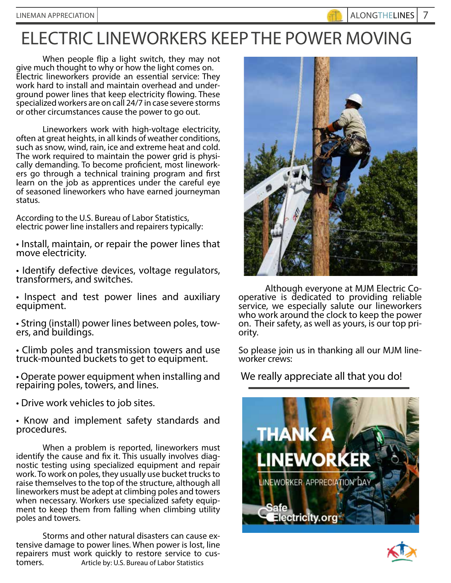# ELECTRIC LINEWORKERS KEEP THE POWER MOVING

When people flip a light switch, they may not give much thought to why or how the light comes on. Electric lineworkers provide an essential service: They ground power lines that keep electricity flowing. These specialized workers are on call 24/7 in case severe storms or other circumstances cause the power to go out.

Lineworkers work with high-voltage electricity, often at great heights, in all kinds of weather conditions, such as snow, wind, rain, ice and extreme heat and cold.<br>The work required to maintain the power grid is physically demanding. To become proficient, most linework- ers go through a technical training program and first learn on the job as apprentices under the careful eye of seasoned lineworkers who have earned journeyman status.

According to the U.S. Bureau of Labor Statistics, electric power line installers and repairers typically:

• Install, maintain, or repair the power lines that move electricity.

• Identify defective devices, voltage regulators, transformers, and switches.

• Inspect and test power lines and auxiliary equipment.

• String (install) power lines between poles, tow- ers, and buildings.

• Climb poles and transmission towers and use truck-mounted buckets to get to equipment.

• Operate power equipment when installing and repairing poles, towers, and lines.

• Drive work vehicles to job sites.

• Know and implement safety standards and procedures.

When a problem is reported, lineworkers must identify the cause and fix it. This usually involves diagnostic testing using specialized equipment and repair work. To work on poles, they usually use bucket trucks to raise themselves to the top of the structure, although all lineworkers must be adept at climbing poles and towers when necessary. Workers use specialized safety equipment to keep them from falling when climbing utility poles and towers.

Storms and other natural disasters can cause ex- tensive damage to power lines. When power is lost, line repairers must work quickly to restore service to cus-<br>tomers. <br>Article by: U.S. Bureau of Labor Statistics Article by: U.S. Bureau of Labor Statistics



Although everyone at MJM Electric Co- operative is dedicated to providing reliable service, we especially salute our lineworkers who work around the clock to keep the power on. Their safety, as well as yours, is our top pri-<br>ority.

So please join us in thanking all our MJM line- worker crews:

We really appreciate all that you do!



![](_page_6_Picture_21.jpeg)